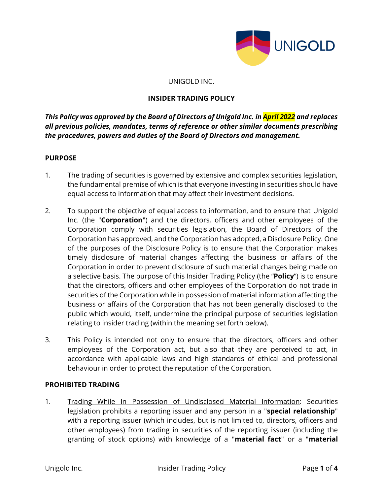

#### UNIGOLD INC.

### **INSIDER TRADING POLICY**

*This Policy was approved by the Board of Directors of Unigold Inc. in April 2022 and replaces all previous policies, mandates, terms of reference or other similar documents prescribing the procedures, powers and duties of the Board of Directors and management.*

#### **PURPOSE**

- 1. The trading of securities is governed by extensive and complex securities legislation, the fundamental premise of which is that everyone investing in securities should have equal access to information that may affect their investment decisions.
- 2. To support the objective of equal access to information, and to ensure that Unigold Inc. (the "**Corporation**") and the directors, officers and other employees of the Corporation comply with securities legislation, the Board of Directors of the Corporation has approved, and the Corporation has adopted, a Disclosure Policy. One of the purposes of the Disclosure Policy is to ensure that the Corporation makes timely disclosure of material changes affecting the business or affairs of the Corporation in order to prevent disclosure of such material changes being made on a selective basis. The purpose of this Insider Trading Policy (the "**Policy**") is to ensure that the directors, officers and other employees of the Corporation do not trade in securities of the Corporation while in possession of material information affecting the business or affairs of the Corporation that has not been generally disclosed to the public which would, itself, undermine the principal purpose of securities legislation relating to insider trading (within the meaning set forth below).
- 3. This Policy is intended not only to ensure that the directors, officers and other employees of the Corporation act, but also that they are perceived to act, in accordance with applicable laws and high standards of ethical and professional behaviour in order to protect the reputation of the Corporation.

#### **PROHIBITED TRADING**

1. Trading While In Possession of Undisclosed Material Information: Securities legislation prohibits a reporting issuer and any person in a "**special relationship**" with a reporting issuer (which includes, but is not limited to, directors, officers and other employees) from trading in securities of the reporting issuer (including the granting of stock options) with knowledge of a "**material fact**" or a "**material**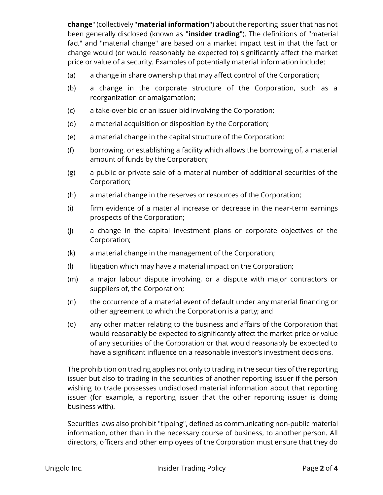**change**" (collectively "**material information**") about the reporting issuer that has not been generally disclosed (known as "**insider trading**"). The definitions of "material fact" and "material change" are based on a market impact test in that the fact or change would (or would reasonably be expected to) significantly affect the market price or value of a security. Examples of potentially material information include:

- (a) a change in share ownership that may affect control of the Corporation;
- (b) a change in the corporate structure of the Corporation, such as a reorganization or amalgamation;
- (c) a take-over bid or an issuer bid involving the Corporation;
- (d) a material acquisition or disposition by the Corporation;
- (e) a material change in the capital structure of the Corporation;
- (f) borrowing, or establishing a facility which allows the borrowing of, a material amount of funds by the Corporation;
- (g) a public or private sale of a material number of additional securities of the Corporation;
- (h) a material change in the reserves or resources of the Corporation;
- (i) firm evidence of a material increase or decrease in the near-term earnings prospects of the Corporation;
- (j) a change in the capital investment plans or corporate objectives of the Corporation;
- (k) a material change in the management of the Corporation;
- (l) litigation which may have a material impact on the Corporation;
- (m) a major labour dispute involving, or a dispute with major contractors or suppliers of, the Corporation;
- (n) the occurrence of a material event of default under any material financing or other agreement to which the Corporation is a party; and
- (o) any other matter relating to the business and affairs of the Corporation that would reasonably be expected to significantly affect the market price or value of any securities of the Corporation or that would reasonably be expected to have a significant influence on a reasonable investor's investment decisions.

The prohibition on trading applies not only to trading in the securities of the reporting issuer but also to trading in the securities of another reporting issuer if the person wishing to trade possesses undisclosed material information about that reporting issuer (for example, a reporting issuer that the other reporting issuer is doing business with).

Securities laws also prohibit "tipping", defined as communicating non-public material information, other than in the necessary course of business, to another person. All directors, officers and other employees of the Corporation must ensure that they do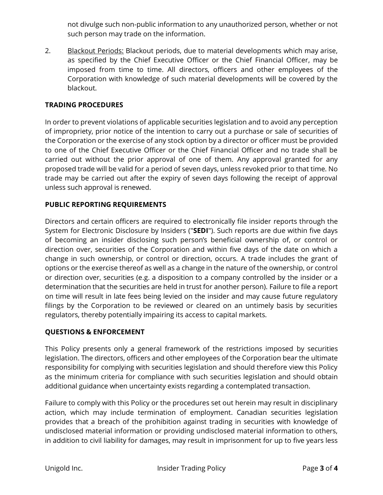not divulge such non-public information to any unauthorized person, whether or not such person may trade on the information.

2. Blackout Periods: Blackout periods, due to material developments which may arise, as specified by the Chief Executive Officer or the Chief Financial Officer, may be imposed from time to time. All directors, officers and other employees of the Corporation with knowledge of such material developments will be covered by the blackout.

## **TRADING PROCEDURES**

In order to prevent violations of applicable securities legislation and to avoid any perception of impropriety, prior notice of the intention to carry out a purchase or sale of securities of the Corporation or the exercise of any stock option by a director or officer must be provided to one of the Chief Executive Officer or the Chief Financial Officer and no trade shall be carried out without the prior approval of one of them. Any approval granted for any proposed trade will be valid for a period of seven days, unless revoked prior to that time. No trade may be carried out after the expiry of seven days following the receipt of approval unless such approval is renewed.

# **PUBLIC REPORTING REQUIREMENTS**

Directors and certain officers are required to electronically file insider reports through the System for Electronic Disclosure by Insiders ("**SEDI**"). Such reports are due within five days of becoming an insider disclosing such person's beneficial ownership of, or control or direction over, securities of the Corporation and within five days of the date on which a change in such ownership, or control or direction, occurs. A trade includes the grant of options or the exercise thereof as well as a change in the nature of the ownership, or control or direction over, securities (e.g. a disposition to a company controlled by the insider or a determination that the securities are held in trust for another person). Failure to file a report on time will result in late fees being levied on the insider and may cause future regulatory filings by the Corporation to be reviewed or cleared on an untimely basis by securities regulators, thereby potentially impairing its access to capital markets.

### **QUESTIONS & ENFORCEMENT**

This Policy presents only a general framework of the restrictions imposed by securities legislation. The directors, officers and other employees of the Corporation bear the ultimate responsibility for complying with securities legislation and should therefore view this Policy as the minimum criteria for compliance with such securities legislation and should obtain additional guidance when uncertainty exists regarding a contemplated transaction.

Failure to comply with this Policy or the procedures set out herein may result in disciplinary action, which may include termination of employment. Canadian securities legislation provides that a breach of the prohibition against trading in securities with knowledge of undisclosed material information or providing undisclosed material information to others, in addition to civil liability for damages, may result in imprisonment for up to five years less